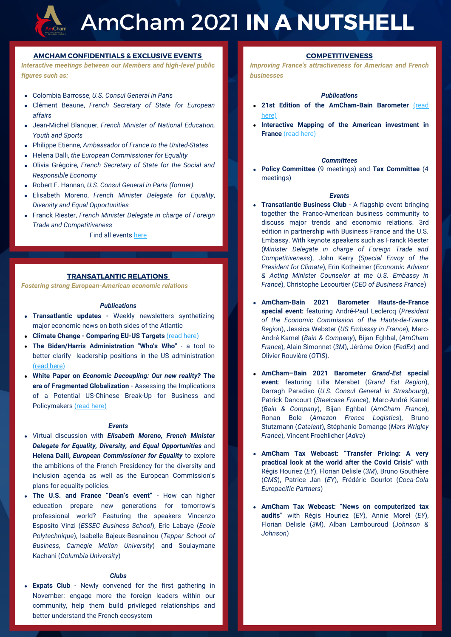

# AmCham 2021 **IN A NUTSHELL**

## **AMCHAM CONFIDENTIALS & EXCLUSIVE EVENTS**

*Interactive meetings between our Members and high-level public figures such as:*

- Colombia Barrosse, *U.S. Consul General in Paris*
- Clément Beaune, *French Secretary of State for European affairs*
- Jean-Michel Blanquer, *French Minister of National Education, Youth and Sports*
- Philippe Etienne, *Ambassador of France to the United-States*
- Helena Dalli, *the European Commissioner for Equality*
- Olivia Grégoire, *French Secretary of State for the Social and Responsible Economy*
- Robert F. Hannan, *U.S. Consul General in Paris (former)*
- Elisabeth Moreno, *French Minister Delegate for Equality*, *Diversity and Equal Opportunities*
- Franck Riester, *French Minister Delegate in charge of Foreign Trade and Competitiveness*

Find all events [here](https://amchamfrance.org/events/)

## **TRANSATLANTIC RELATIONS**

*Fostering strong European-American economic relations*

#### *Publications*

- **Transatlantic updates** Weekly newsletters synthetizing major economic news on both sides of the Atlantic
- **Climate Change Comparing EU-US Targets** [\(read here\)](https://amchamfrance.org/publication/climate-change-comparing-eu-us-targets/)
- **The Biden/Harris Administration "Who's Who"** a tool to better clarify leadership positions in the US administration [\(read here\)](https://amchamfrance.org/publication/ladministration-biden-harris-whos-who/)
- **White Paper on** *Economic Decoupling: Our new reality?* **The era of Fragmented Globalization** - Assessing the Implications of a Potential US-Chinese Break-Up for Business and Policymakers [\(read here\)](https://amchamfrance.org/publication/chine-etats-unis-le-grand-decouplage-notre-nouvelle-realite/)

#### *Events*

- Virtual discussion with *Elisabeth Moreno, French Minister Delegate for Equality, Diversity, and Equal Opportunities* and **Helena Dalli,** *European Commissioner for Equality* to explore the ambitions of the French Presidency for the diversity and inclusion agenda as well as the European Commission's plans for equality policies.
- **The U.S. and France "Dean's event"**  How can higher education prepare new generations for tomorrow's professional world? Featuring the speakers Vincenzo Esposito Vinzi (*ESSEC Business School*), Eric Labaye (*Ecole Polytechnique*), Isabelle Bajeux-Besnainou (*Tepper School of Business, Carnegie Mellon University*) and Soulaymane Kachani (*Columbia University*)

## *Clubs*

**Expats Club** - Newly convened for the first gathering in November: engage more the foreign leaders within our community, help them build privileged relationships and better understand the French ecosystem

# **COMPETITIVENESS**

*Improving France's attractiveness for American and French businesses*

# *Publications*

- **[21st Edition of the AmCham-Bain Barometer](https://amchamfrance.org/publication/21eme-edition-du-barometre-amcham-bain/)** (read here)
- **Interactive Mapping of the American investment in France** [\(read here\)](https://amchamfrance.org/publication/cartographie-des-investissements-americains-en-france/)

#### *Committees*

**Policy Committee** (9 meetings) and **Tax Committee** (4 meetings)

#### *Events*

- **Transatlantic Business Club** A flagship event bringing together the Franco-American business community to discuss major trends and economic relations. 3rd edition in partnership with Business France and the U.S. Embassy. With keynote speakers such as Franck Riester (*Minister Delegate in charge of Foreign Trade and Competitiveness*), John Kerry (*Special Envoy of the President for Climate*), Erin Kotheimer (*Economic Advisor & Acting Minister Counselor at the U.S. Embassy in France*), Christophe Lecourtier (*CEO of Business France*)
- **AmCham-Bain 2021 Barometer Hauts-de-France special event:** featuring André-Paul Leclercq (*President of the Economic Commission of the Hauts-de-France Region*), Jessica Webster (*US Embassy in France*), Marc-André Kamel (*Bain & Company*), Bijan Eghbal, (*AmCham France*), Alain Simonnet (*3M*), Jérôme Ovion (*FedEx*) and Olivier Rouvière (*OTIS*).
- **AmCham–Bain 2021 Barometer** *Grand-Est* **special event**: featuring Lilla Merabet (*Grand Est Region*), Darragh Paradiso (*U.S. Consul General in Strasbourg*), Patrick Dancourt (*Steelcase France*), Marc-André Kamel (*Bain & Company*), Bijan Eghbal (*AmCham France*), Ronan Bole (*Amazon France Logistics*), Bruno Stutzmann (*Catalent*), Stéphanie Domange (*Mars Wrigley France*), Vincent Froehlicher (*Adira*)
- **AmCham Tax Webcast: "Transfer Pricing: A very practical look at the world after the Covid Crisis"** with Régis Houriez (*EY*), Florian Delisle (*3M*), Bruno Gouthière (*CMS*), Patrice Jan (*EY*), Frédéric Gourlot (*Coca-Cola Europacific Partners*)
- **AmCham Tax Webcast: "News on computerized tax audits"** with Régis Houriez (*EY*), Annie Morel (*EY*), Florian Delisle (*3M*), Alban Lambouroud (*Johnson & Johnson*)